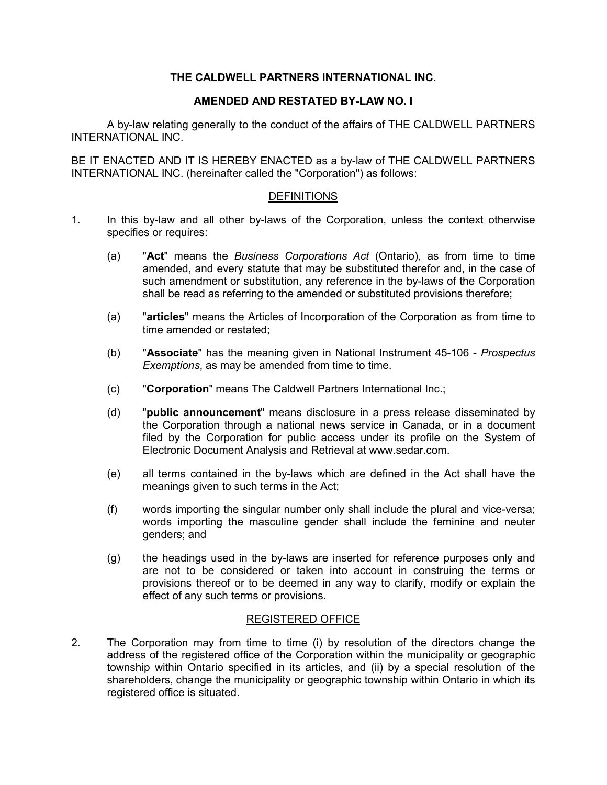## **THE CALDWELL PARTNERS INTERNATIONAL INC.**

## **AMENDED AND RESTATED BY-LAW NO. I**

A by-law relating generally to the conduct of the affairs of THE CALDWELL PARTNERS INTERNATIONAL INC.

BE IT ENACTED AND IT IS HEREBY ENACTED as a by-law of THE CALDWELL PARTNERS INTERNATIONAL INC. (hereinafter called the "Corporation") as follows:

### **DEFINITIONS**

- 1. In this by-law and all other by-laws of the Corporation, unless the context otherwise specifies or requires:
	- (a) "**Act**" means the *Business Corporations Act* (Ontario), as from time to time amended, and every statute that may be substituted therefor and, in the case of such amendment or substitution, any reference in the by-laws of the Corporation shall be read as referring to the amended or substituted provisions therefore;
	- (a) "**articles**" means the Articles of Incorporation of the Corporation as from time to time amended or restated;
	- (b) "**Associate**" has the meaning given in National Instrument 45-106 *Prospectus Exemptions*, as may be amended from time to time.
	- (c) "**Corporation**" means The Caldwell Partners International Inc.;
	- (d) "**public announcement**" means disclosure in a press release disseminated by the Corporation through a national news service in Canada, or in a document filed by the Corporation for public access under its profile on the System of Electronic Document Analysis and Retrieval at www.sedar.com.
	- (e) all terms contained in the by-laws which are defined in the Act shall have the meanings given to such terms in the Act;
	- (f) words importing the singular number only shall include the plural and vice-versa; words importing the masculine gender shall include the feminine and neuter genders; and
	- (g) the headings used in the by-laws are inserted for reference purposes only and are not to be considered or taken into account in construing the terms or provisions thereof or to be deemed in any way to clarify, modify or explain the effect of any such terms or provisions.

## REGISTERED OFFICE

2. The Corporation may from time to time (i) by resolution of the directors change the address of the registered office of the Corporation within the municipality or geographic township within Ontario specified in its articles, and (ii) by a special resolution of the shareholders, change the municipality or geographic township within Ontario in which its registered office is situated.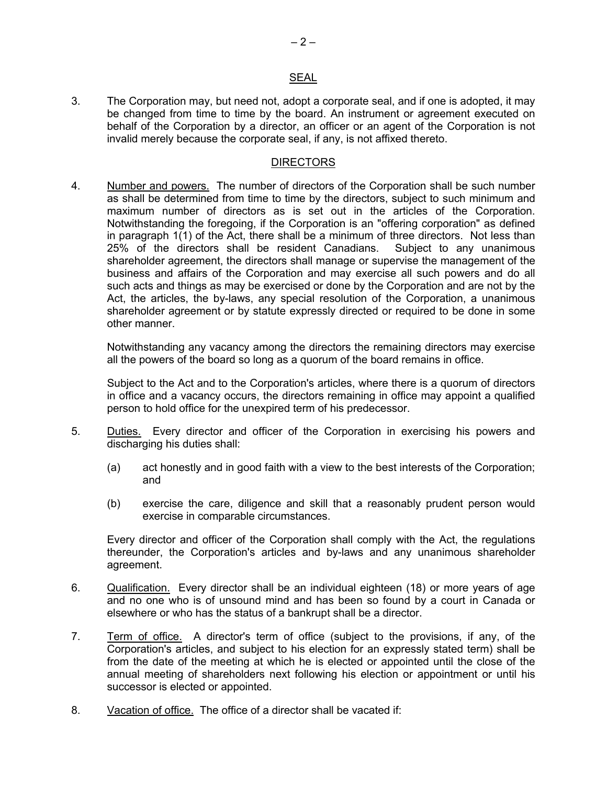#### **SEAL**

3. The Corporation may, but need not, adopt a corporate seal, and if one is adopted, it may be changed from time to time by the board. An instrument or agreement executed on behalf of the Corporation by a director, an officer or an agent of the Corporation is not invalid merely because the corporate seal, if any, is not affixed thereto.

#### **DIRECTORS**

4. Number and powers. The number of directors of the Corporation shall be such number as shall be determined from time to time by the directors, subject to such minimum and maximum number of directors as is set out in the articles of the Corporation. Notwithstanding the foregoing, if the Corporation is an "offering corporation" as defined in paragraph 1(1) of the Act, there shall be a minimum of three directors. Not less than 25% of the directors shall be resident Canadians. Subject to any unanimous shareholder agreement, the directors shall manage or supervise the management of the business and affairs of the Corporation and may exercise all such powers and do all such acts and things as may be exercised or done by the Corporation and are not by the Act, the articles, the by-laws, any special resolution of the Corporation, a unanimous shareholder agreement or by statute expressly directed or required to be done in some other manner.

Notwithstanding any vacancy among the directors the remaining directors may exercise all the powers of the board so long as a quorum of the board remains in office.

Subject to the Act and to the Corporation's articles, where there is a quorum of directors in office and a vacancy occurs, the directors remaining in office may appoint a qualified person to hold office for the unexpired term of his predecessor.

- 5. Duties. Every director and officer of the Corporation in exercising his powers and discharging his duties shall:
	- (a) act honestly and in good faith with a view to the best interests of the Corporation; and
	- (b) exercise the care, diligence and skill that a reasonably prudent person would exercise in comparable circumstances.

Every director and officer of the Corporation shall comply with the Act, the regulations thereunder, the Corporation's articles and by-laws and any unanimous shareholder agreement.

- 6. Qualification. Every director shall be an individual eighteen (18) or more years of age and no one who is of unsound mind and has been so found by a court in Canada or elsewhere or who has the status of a bankrupt shall be a director.
- 7. Term of office. A director's term of office (subject to the provisions, if any, of the Corporation's articles, and subject to his election for an expressly stated term) shall be from the date of the meeting at which he is elected or appointed until the close of the annual meeting of shareholders next following his election or appointment or until his successor is elected or appointed.
- 8. Vacation of office. The office of a director shall be vacated if: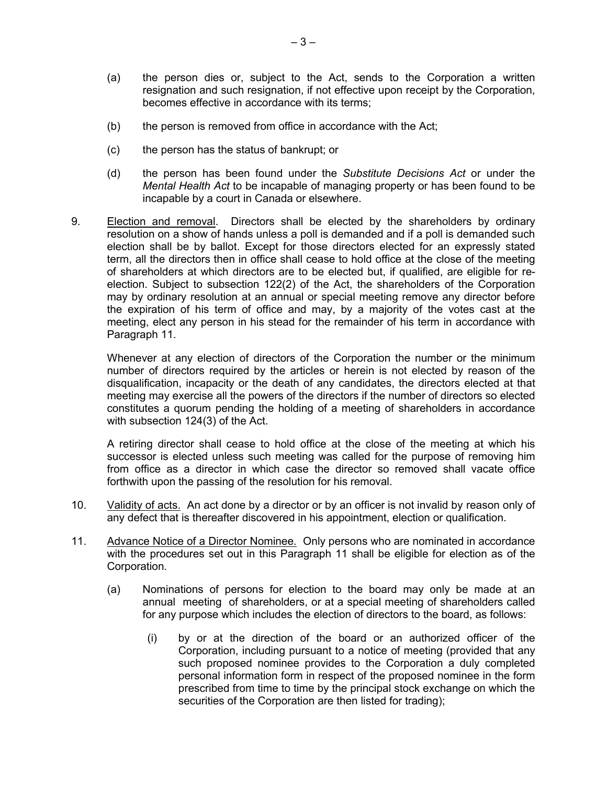- (a) the person dies or, subject to the Act, sends to the Corporation a written resignation and such resignation, if not effective upon receipt by the Corporation, becomes effective in accordance with its terms;
- (b) the person is removed from office in accordance with the Act;
- (c) the person has the status of bankrupt; or
- (d) the person has been found under the *Substitute Decisions Act* or under the *Mental Health Act* to be incapable of managing property or has been found to be incapable by a court in Canada or elsewhere.
- 9. Election and removal. Directors shall be elected by the shareholders by ordinary resolution on a show of hands unless a poll is demanded and if a poll is demanded such election shall be by ballot. Except for those directors elected for an expressly stated term, all the directors then in office shall cease to hold office at the close of the meeting of shareholders at which directors are to be elected but, if qualified, are eligible for reelection. Subject to subsection 122(2) of the Act, the shareholders of the Corporation may by ordinary resolution at an annual or special meeting remove any director before the expiration of his term of office and may, by a majority of the votes cast at the meeting, elect any person in his stead for the remainder of his term in accordance with Paragraph 11.

Whenever at any election of directors of the Corporation the number or the minimum number of directors required by the articles or herein is not elected by reason of the disqualification, incapacity or the death of any candidates, the directors elected at that meeting may exercise all the powers of the directors if the number of directors so elected constitutes a quorum pending the holding of a meeting of shareholders in accordance with subsection 124(3) of the Act.

A retiring director shall cease to hold office at the close of the meeting at which his successor is elected unless such meeting was called for the purpose of removing him from office as a director in which case the director so removed shall vacate office forthwith upon the passing of the resolution for his removal.

- 10. Validity of acts. An act done by a director or by an officer is not invalid by reason only of any defect that is thereafter discovered in his appointment, election or qualification.
- 11. Advance Notice of a Director Nominee. Only persons who are nominated in accordance with the procedures set out in this Paragraph 11 shall be eligible for election as of the Corporation.
	- (a) Nominations of persons for election to the board may only be made at an annual meeting of shareholders, or at a special meeting of shareholders called for any purpose which includes the election of directors to the board, as follows:
		- (i) by or at the direction of the board or an authorized officer of the Corporation, including pursuant to a notice of meeting (provided that any such proposed nominee provides to the Corporation a duly completed personal information form in respect of the proposed nominee in the form prescribed from time to time by the principal stock exchange on which the securities of the Corporation are then listed for trading):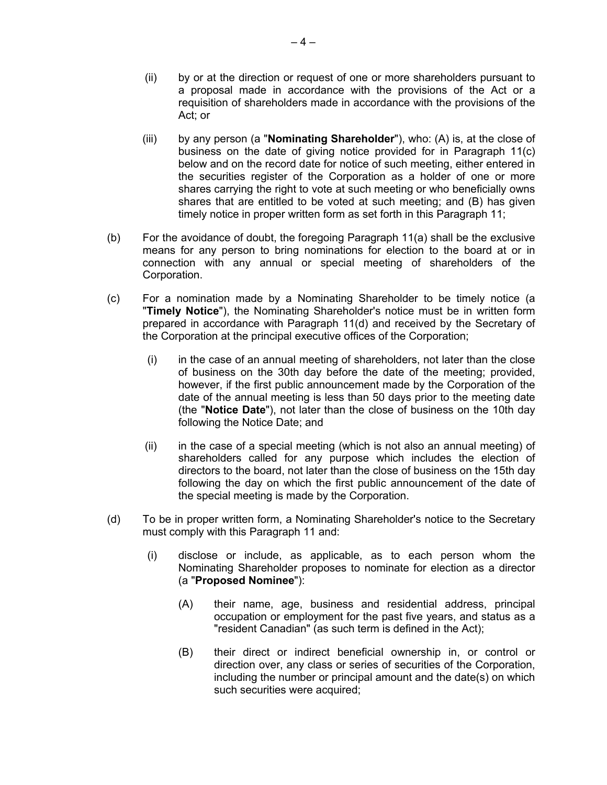- (ii) by or at the direction or request of one or more shareholders pursuant to a proposal made in accordance with the provisions of the Act or a requisition of shareholders made in accordance with the provisions of the Act; or
- (iii) by any person (a "**Nominating Shareholder**"), who: (A) is, at the close of business on the date of giving notice provided for in Paragraph 11(c) below and on the record date for notice of such meeting, either entered in the securities register of the Corporation as a holder of one or more shares carrying the right to vote at such meeting or who beneficially owns shares that are entitled to be voted at such meeting; and (B) has given timely notice in proper written form as set forth in this Paragraph 11;
- (b) For the avoidance of doubt, the foregoing Paragraph 11(a) shall be the exclusive means for any person to bring nominations for election to the board at or in connection with any annual or special meeting of shareholders of the Corporation.
- (c) For a nomination made by a Nominating Shareholder to be timely notice (a "**Timely Notice**"), the Nominating Shareholder's notice must be in written form prepared in accordance with Paragraph 11(d) and received by the Secretary of the Corporation at the principal executive offices of the Corporation;
	- (i) in the case of an annual meeting of shareholders, not later than the close of business on the 30th day before the date of the meeting; provided, however, if the first public announcement made by the Corporation of the date of the annual meeting is less than 50 days prior to the meeting date (the "**Notice Date**"), not later than the close of business on the 10th day following the Notice Date; and
	- (ii) in the case of a special meeting (which is not also an annual meeting) of shareholders called for any purpose which includes the election of directors to the board, not later than the close of business on the 15th day following the day on which the first public announcement of the date of the special meeting is made by the Corporation.
- (d) To be in proper written form, a Nominating Shareholder's notice to the Secretary must comply with this Paragraph 11 and:
	- (i) disclose or include, as applicable, as to each person whom the Nominating Shareholder proposes to nominate for election as a director (a "**Proposed Nominee**"):
		- (A) their name, age, business and residential address, principal occupation or employment for the past five years, and status as a "resident Canadian" (as such term is defined in the Act);
		- (B) their direct or indirect beneficial ownership in, or control or direction over, any class or series of securities of the Corporation, including the number or principal amount and the date(s) on which such securities were acquired;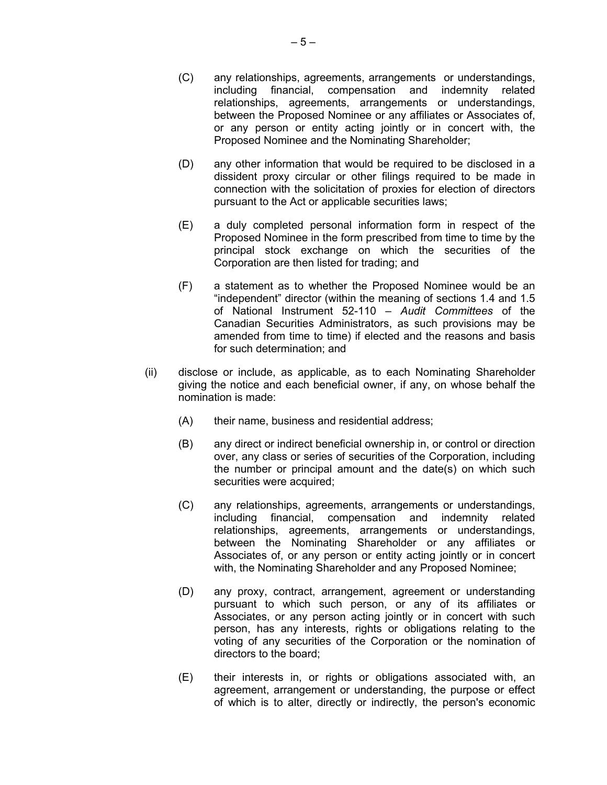- (C) any relationships, agreements, arrangements or understandings, including financial, compensation and indemnity related relationships, agreements, arrangements or understandings, between the Proposed Nominee or any affiliates or Associates of, or any person or entity acting jointly or in concert with, the Proposed Nominee and the Nominating Shareholder;
- (D) any other information that would be required to be disclosed in a dissident proxy circular or other filings required to be made in connection with the solicitation of proxies for election of directors pursuant to the Act or applicable securities laws;
- (E) a duly completed personal information form in respect of the Proposed Nominee in the form prescribed from time to time by the principal stock exchange on which the securities of the Corporation are then listed for trading; and
- (F) a statement as to whether the Proposed Nominee would be an "independent" director (within the meaning of sections 1.4 and 1.5 of National Instrument 52-110 – *Audit Committees* of the Canadian Securities Administrators, as such provisions may be amended from time to time) if elected and the reasons and basis for such determination; and
- (ii) disclose or include, as applicable, as to each Nominating Shareholder giving the notice and each beneficial owner, if any, on whose behalf the nomination is made:
	- (A) their name, business and residential address;
	- (B) any direct or indirect beneficial ownership in, or control or direction over, any class or series of securities of the Corporation, including the number or principal amount and the date(s) on which such securities were acquired;
	- (C) any relationships, agreements, arrangements or understandings, including financial, compensation and indemnity related relationships, agreements, arrangements or understandings, between the Nominating Shareholder or any affiliates or Associates of, or any person or entity acting jointly or in concert with, the Nominating Shareholder and any Proposed Nominee;
	- (D) any proxy, contract, arrangement, agreement or understanding pursuant to which such person, or any of its affiliates or Associates, or any person acting jointly or in concert with such person, has any interests, rights or obligations relating to the voting of any securities of the Corporation or the nomination of directors to the board;
	- (E) their interests in, or rights or obligations associated with, an agreement, arrangement or understanding, the purpose or effect of which is to alter, directly or indirectly, the person's economic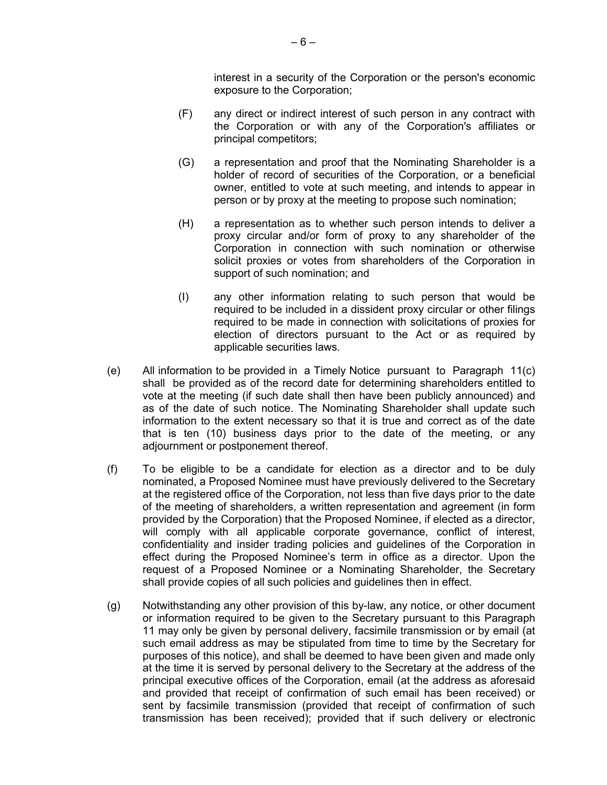interest in a security of the Corporation or the person's economic exposure to the Corporation;

- (F) any direct or indirect interest of such person in any contract with the Corporation or with any of the Corporation's affiliates or principal competitors;
- (G) a representation and proof that the Nominating Shareholder is a holder of record of securities of the Corporation, or a beneficial owner, entitled to vote at such meeting, and intends to appear in person or by proxy at the meeting to propose such nomination;
- (H) a representation as to whether such person intends to deliver a proxy circular and/or form of proxy to any shareholder of the Corporation in connection with such nomination or otherwise solicit proxies or votes from shareholders of the Corporation in support of such nomination; and
- (I) any other information relating to such person that would be required to be included in a dissident proxy circular or other filings required to be made in connection with solicitations of proxies for election of directors pursuant to the Act or as required by applicable securities laws.
- (e) All information to be provided in a Timely Notice pursuant to Paragraph 11(c) shall be provided as of the record date for determining shareholders entitled to vote at the meeting (if such date shall then have been publicly announced) and as of the date of such notice. The Nominating Shareholder shall update such information to the extent necessary so that it is true and correct as of the date that is ten (10) business days prior to the date of the meeting, or any adjournment or postponement thereof.
- (f) To be eligible to be a candidate for election as a director and to be duly nominated, a Proposed Nominee must have previously delivered to the Secretary at the registered office of the Corporation, not less than five days prior to the date of the meeting of shareholders, a written representation and agreement (in form provided by the Corporation) that the Proposed Nominee, if elected as a director, will comply with all applicable corporate governance, conflict of interest, confidentiality and insider trading policies and guidelines of the Corporation in effect during the Proposed Nominee's term in office as a director. Upon the request of a Proposed Nominee or a Nominating Shareholder, the Secretary shall provide copies of all such policies and guidelines then in effect.
- (g) Notwithstanding any other provision of this by-law, any notice, or other document or information required to be given to the Secretary pursuant to this Paragraph 11 may only be given by personal delivery, facsimile transmission or by email (at such email address as may be stipulated from time to time by the Secretary for purposes of this notice), and shall be deemed to have been given and made only at the time it is served by personal delivery to the Secretary at the address of the principal executive offices of the Corporation, email (at the address as aforesaid and provided that receipt of confirmation of such email has been received) or sent by facsimile transmission (provided that receipt of confirmation of such transmission has been received); provided that if such delivery or electronic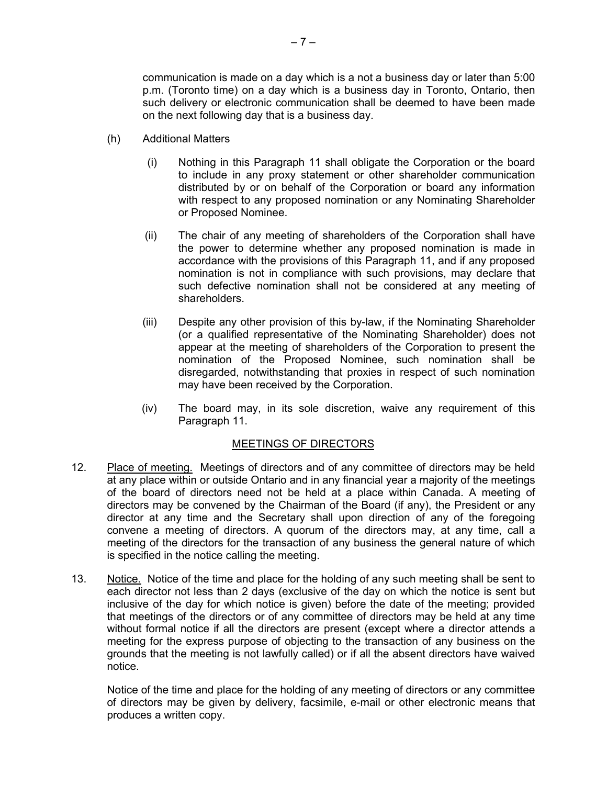communication is made on a day which is a not a business day or later than 5:00 p.m. (Toronto time) on a day which is a business day in Toronto, Ontario, then such delivery or electronic communication shall be deemed to have been made on the next following day that is a business day.

- (h) Additional Matters
	- (i) Nothing in this Paragraph 11 shall obligate the Corporation or the board to include in any proxy statement or other shareholder communication distributed by or on behalf of the Corporation or board any information with respect to any proposed nomination or any Nominating Shareholder or Proposed Nominee.
	- (ii) The chair of any meeting of shareholders of the Corporation shall have the power to determine whether any proposed nomination is made in accordance with the provisions of this Paragraph 11, and if any proposed nomination is not in compliance with such provisions, may declare that such defective nomination shall not be considered at any meeting of shareholders.
	- (iii) Despite any other provision of this by-law, if the Nominating Shareholder (or a qualified representative of the Nominating Shareholder) does not appear at the meeting of shareholders of the Corporation to present the nomination of the Proposed Nominee, such nomination shall be disregarded, notwithstanding that proxies in respect of such nomination may have been received by the Corporation.
	- (iv) The board may, in its sole discretion, waive any requirement of this Paragraph 11.

## MEETINGS OF DIRECTORS

- 12. Place of meeting. Meetings of directors and of any committee of directors may be held at any place within or outside Ontario and in any financial year a majority of the meetings of the board of directors need not be held at a place within Canada. A meeting of directors may be convened by the Chairman of the Board (if any), the President or any director at any time and the Secretary shall upon direction of any of the foregoing convene a meeting of directors. A quorum of the directors may, at any time, call a meeting of the directors for the transaction of any business the general nature of which is specified in the notice calling the meeting.
- 13. Notice. Notice of the time and place for the holding of any such meeting shall be sent to each director not less than 2 days (exclusive of the day on which the notice is sent but inclusive of the day for which notice is given) before the date of the meeting; provided that meetings of the directors or of any committee of directors may be held at any time without formal notice if all the directors are present (except where a director attends a meeting for the express purpose of objecting to the transaction of any business on the grounds that the meeting is not lawfully called) or if all the absent directors have waived notice.

Notice of the time and place for the holding of any meeting of directors or any committee of directors may be given by delivery, facsimile, e-mail or other electronic means that produces a written copy.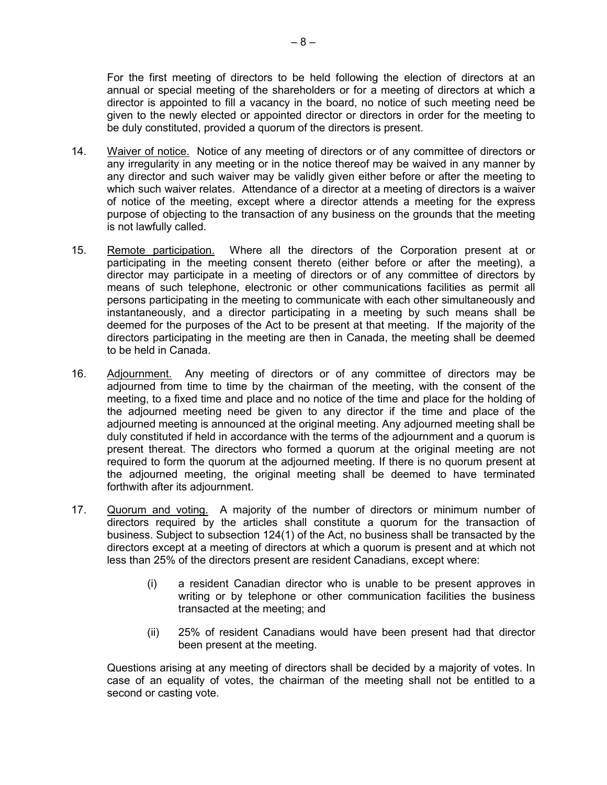For the first meeting of directors to be held following the election of directors at an annual or special meeting of the shareholders or for a meeting of directors at which a director is appointed to fill a vacancy in the board, no notice of such meeting need be given to the newly elected or appointed director or directors in order for the meeting to be duly constituted, provided a quorum of the directors is present.

- 14. Waiver of notice. Notice of any meeting of directors or of any committee of directors or any irregularity in any meeting or in the notice thereof may be waived in any manner by any director and such waiver may be validly given either before or after the meeting to which such waiver relates. Attendance of a director at a meeting of directors is a waiver of notice of the meeting, except where a director attends a meeting for the express purpose of objecting to the transaction of any business on the grounds that the meeting is not lawfully called.
- 15. Remote participation. Where all the directors of the Corporation present at or participating in the meeting consent thereto (either before or after the meeting), a director may participate in a meeting of directors or of any committee of directors by means of such telephone, electronic or other communications facilities as permit all persons participating in the meeting to communicate with each other simultaneously and instantaneously, and a director participating in a meeting by such means shall be deemed for the purposes of the Act to be present at that meeting. If the majority of the directors participating in the meeting are then in Canada, the meeting shall be deemed to be held in Canada.
- 16. Adjournment. Any meeting of directors or of any committee of directors may be adjourned from time to time by the chairman of the meeting, with the consent of the meeting, to a fixed time and place and no notice of the time and place for the holding of the adjourned meeting need be given to any director if the time and place of the adjourned meeting is announced at the original meeting. Any adjourned meeting shall be duly constituted if held in accordance with the terms of the adjournment and a quorum is present thereat. The directors who formed a quorum at the original meeting are not required to form the quorum at the adjourned meeting. If there is no quorum present at the adjourned meeting, the original meeting shall be deemed to have terminated forthwith after its adjournment.
- 17. Quorum and voting. A majority of the number of directors or minimum number of directors required by the articles shall constitute a quorum for the transaction of business. Subject to subsection 124(1) of the Act, no business shall be transacted by the directors except at a meeting of directors at which a quorum is present and at which not less than 25% of the directors present are resident Canadians, except where:
	- (i) a resident Canadian director who is unable to be present approves in writing or by telephone or other communication facilities the business transacted at the meeting; and
	- (ii) 25% of resident Canadians would have been present had that director been present at the meeting.

Questions arising at any meeting of directors shall be decided by a majority of votes. In case of an equality of votes, the chairman of the meeting shall not be entitled to a second or casting vote.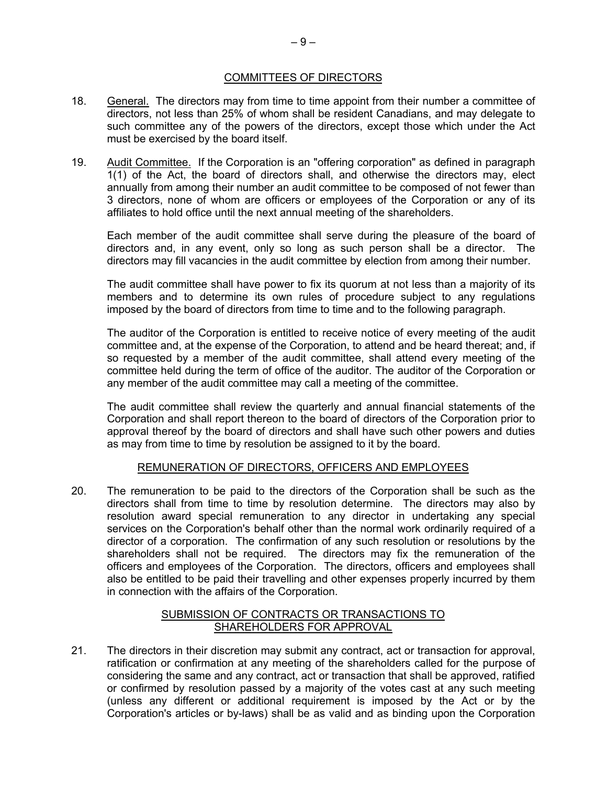## COMMITTEES OF DIRECTORS

- 18. General. The directors may from time to time appoint from their number a committee of directors, not less than 25% of whom shall be resident Canadians, and may delegate to such committee any of the powers of the directors, except those which under the Act must be exercised by the board itself.
- 19. Audit Committee. If the Corporation is an "offering corporation" as defined in paragraph  $1(1)$  of the Act, the board of directors shall, and otherwise the directors may, elect annually from among their number an audit committee to be composed of not fewer than 3 directors, none of whom are officers or employees of the Corporation or any of its affiliates to hold office until the next annual meeting of the shareholders.

Each member of the audit committee shall serve during the pleasure of the board of directors and, in any event, only so long as such person shall be a director. The directors may fill vacancies in the audit committee by election from among their number.

The audit committee shall have power to fix its quorum at not less than a majority of its members and to determine its own rules of procedure subject to any regulations imposed by the board of directors from time to time and to the following paragraph.

The auditor of the Corporation is entitled to receive notice of every meeting of the audit committee and, at the expense of the Corporation, to attend and be heard thereat; and, if so requested by a member of the audit committee, shall attend every meeting of the committee held during the term of office of the auditor. The auditor of the Corporation or any member of the audit committee may call a meeting of the committee.

The audit committee shall review the quarterly and annual financial statements of the Corporation and shall report thereon to the board of directors of the Corporation prior to approval thereof by the board of directors and shall have such other powers and duties as may from time to time by resolution be assigned to it by the board.

## REMUNERATION OF DIRECTORS, OFFICERS AND EMPLOYEES

20. The remuneration to be paid to the directors of the Corporation shall be such as the directors shall from time to time by resolution determine. The directors may also by resolution award special remuneration to any director in undertaking any special services on the Corporation's behalf other than the normal work ordinarily required of a director of a corporation. The confirmation of any such resolution or resolutions by the shareholders shall not be required. The directors may fix the remuneration of the officers and employees of the Corporation. The directors, officers and employees shall also be entitled to be paid their travelling and other expenses properly incurred by them in connection with the affairs of the Corporation.

## SUBMISSION OF CONTRACTS OR TRANSACTIONS TO SHAREHOLDERS FOR APPROVAL

21. The directors in their discretion may submit any contract, act or transaction for approval, ratification or confirmation at any meeting of the shareholders called for the purpose of considering the same and any contract, act or transaction that shall be approved, ratified or confirmed by resolution passed by a majority of the votes cast at any such meeting (unless any different or additional requirement is imposed by the Act or by the Corporation's articles or by-laws) shall be as valid and as binding upon the Corporation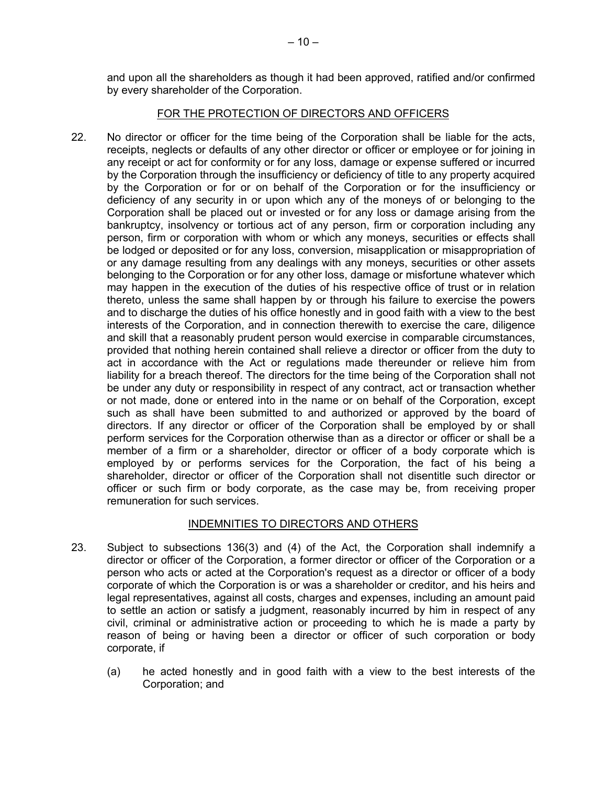and upon all the shareholders as though it had been approved, ratified and/or confirmed by every shareholder of the Corporation.

## FOR THE PROTECTION OF DIRECTORS AND OFFICERS

22. No director or officer for the time being of the Corporation shall be liable for the acts, receipts, neglects or defaults of any other director or officer or employee or for joining in any receipt or act for conformity or for any loss, damage or expense suffered or incurred by the Corporation through the insufficiency or deficiency of title to any property acquired by the Corporation or for or on behalf of the Corporation or for the insufficiency or deficiency of any security in or upon which any of the moneys of or belonging to the Corporation shall be placed out or invested or for any loss or damage arising from the bankruptcy, insolvency or tortious act of any person, firm or corporation including any person, firm or corporation with whom or which any moneys, securities or effects shall be lodged or deposited or for any loss, conversion, misapplication or misappropriation of or any damage resulting from any dealings with any moneys, securities or other assets belonging to the Corporation or for any other loss, damage or misfortune whatever which may happen in the execution of the duties of his respective office of trust or in relation thereto, unless the same shall happen by or through his failure to exercise the powers and to discharge the duties of his office honestly and in good faith with a view to the best interests of the Corporation, and in connection therewith to exercise the care, diligence and skill that a reasonably prudent person would exercise in comparable circumstances, provided that nothing herein contained shall relieve a director or officer from the duty to act in accordance with the Act or regulations made thereunder or relieve him from liability for a breach thereof. The directors for the time being of the Corporation shall not be under any duty or responsibility in respect of any contract, act or transaction whether or not made, done or entered into in the name or on behalf of the Corporation, except such as shall have been submitted to and authorized or approved by the board of directors. If any director or officer of the Corporation shall be employed by or shall perform services for the Corporation otherwise than as a director or officer or shall be a member of a firm or a shareholder, director or officer of a body corporate which is employed by or performs services for the Corporation, the fact of his being a shareholder, director or officer of the Corporation shall not disentitle such director or officer or such firm or body corporate, as the case may be, from receiving proper remuneration for such services.

## INDEMNITIES TO DIRECTORS AND OTHERS

- 23. Subject to subsections 136(3) and (4) of the Act, the Corporation shall indemnify a director or officer of the Corporation, a former director or officer of the Corporation or a person who acts or acted at the Corporation's request as a director or officer of a body corporate of which the Corporation is or was a shareholder or creditor, and his heirs and legal representatives, against all costs, charges and expenses, including an amount paid to settle an action or satisfy a judgment, reasonably incurred by him in respect of any civil, criminal or administrative action or proceeding to which he is made a party by reason of being or having been a director or officer of such corporation or body corporate, if
	- (a) he acted honestly and in good faith with a view to the best interests of the Corporation; and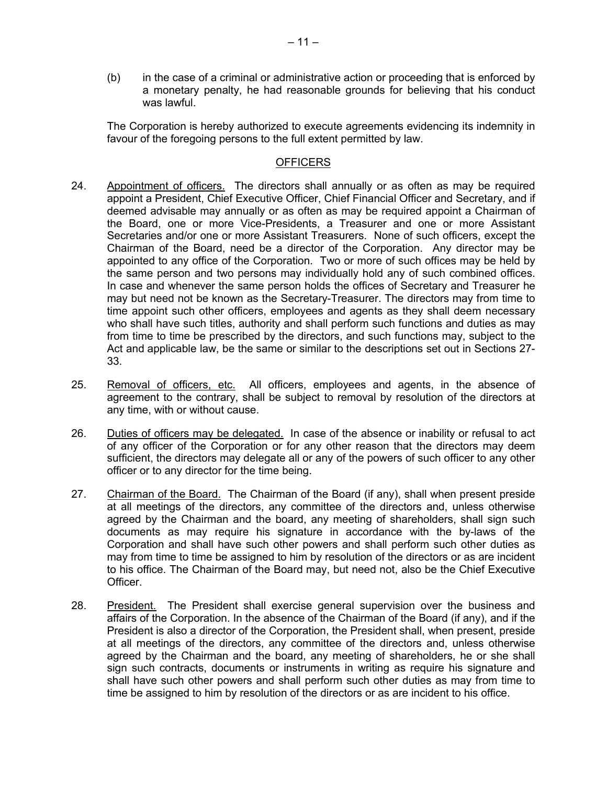(b) in the case of a criminal or administrative action or proceeding that is enforced by a monetary penalty, he had reasonable grounds for believing that his conduct was lawful.

The Corporation is hereby authorized to execute agreements evidencing its indemnity in favour of the foregoing persons to the full extent permitted by law.

## **OFFICERS**

- 24. Appointment of officers. The directors shall annually or as often as may be required appoint a President, Chief Executive Officer, Chief Financial Officer and Secretary, and if deemed advisable may annually or as often as may be required appoint a Chairman of the Board, one or more Vice-Presidents, a Treasurer and one or more Assistant Secretaries and/or one or more Assistant Treasurers. None of such officers, except the Chairman of the Board, need be a director of the Corporation. Any director may be appointed to any office of the Corporation. Two or more of such offices may be held by the same person and two persons may individually hold any of such combined offices. In case and whenever the same person holds the offices of Secretary and Treasurer he may but need not be known as the Secretary-Treasurer. The directors may from time to time appoint such other officers, employees and agents as they shall deem necessary who shall have such titles, authority and shall perform such functions and duties as may from time to time be prescribed by the directors, and such functions may, subject to the Act and applicable law, be the same or similar to the descriptions set out in Sections 27- 33.
- 25. Removal of officers, etc. All officers, employees and agents, in the absence of agreement to the contrary, shall be subject to removal by resolution of the directors at any time, with or without cause.
- 26. Duties of officers may be delegated. In case of the absence or inability or refusal to act of any officer of the Corporation or for any other reason that the directors may deem sufficient, the directors may delegate all or any of the powers of such officer to any other officer or to any director for the time being.
- 27. Chairman of the Board. The Chairman of the Board (if any), shall when present preside at all meetings of the directors, any committee of the directors and, unless otherwise agreed by the Chairman and the board, any meeting of shareholders, shall sign such documents as may require his signature in accordance with the by-laws of the Corporation and shall have such other powers and shall perform such other duties as may from time to time be assigned to him by resolution of the directors or as are incident to his office. The Chairman of the Board may, but need not, also be the Chief Executive Officer.
- 28. President. The President shall exercise general supervision over the business and affairs of the Corporation. In the absence of the Chairman of the Board (if any), and if the President is also a director of the Corporation, the President shall, when present, preside at all meetings of the directors, any committee of the directors and, unless otherwise agreed by the Chairman and the board, any meeting of shareholders, he or she shall sign such contracts, documents or instruments in writing as require his signature and shall have such other powers and shall perform such other duties as may from time to time be assigned to him by resolution of the directors or as are incident to his office.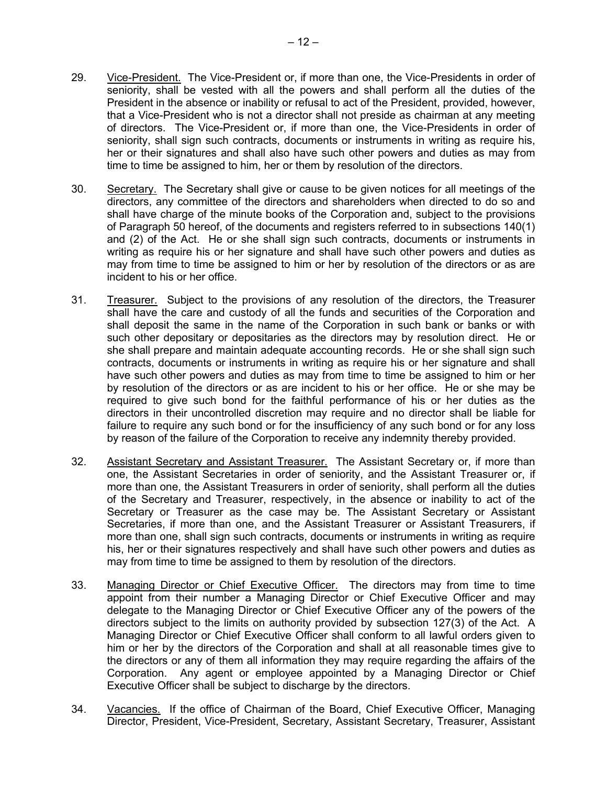- 29. Vice-President. The Vice-President or, if more than one, the Vice-Presidents in order of seniority, shall be vested with all the powers and shall perform all the duties of the President in the absence or inability or refusal to act of the President, provided, however, that a Vice-President who is not a director shall not preside as chairman at any meeting of directors. The Vice-President or, if more than one, the Vice-Presidents in order of seniority, shall sign such contracts, documents or instruments in writing as require his, her or their signatures and shall also have such other powers and duties as may from time to time be assigned to him, her or them by resolution of the directors.
- 30. Secretary. The Secretary shall give or cause to be given notices for all meetings of the directors, any committee of the directors and shareholders when directed to do so and shall have charge of the minute books of the Corporation and, subject to the provisions of Paragraph 50 hereof, of the documents and registers referred to in subsections 140(1) and (2) of the Act. He or she shall sign such contracts, documents or instruments in writing as require his or her signature and shall have such other powers and duties as may from time to time be assigned to him or her by resolution of the directors or as are incident to his or her office.
- 31. Treasurer. Subject to the provisions of any resolution of the directors, the Treasurer shall have the care and custody of all the funds and securities of the Corporation and shall deposit the same in the name of the Corporation in such bank or banks or with such other depositary or depositaries as the directors may by resolution direct. He or she shall prepare and maintain adequate accounting records. He or she shall sign such contracts, documents or instruments in writing as require his or her signature and shall have such other powers and duties as may from time to time be assigned to him or her by resolution of the directors or as are incident to his or her office. He or she may be required to give such bond for the faithful performance of his or her duties as the directors in their uncontrolled discretion may require and no director shall be liable for failure to require any such bond or for the insufficiency of any such bond or for any loss by reason of the failure of the Corporation to receive any indemnity thereby provided.
- 32. Assistant Secretary and Assistant Treasurer. The Assistant Secretary or, if more than one, the Assistant Secretaries in order of seniority, and the Assistant Treasurer or, if more than one, the Assistant Treasurers in order of seniority, shall perform all the duties of the Secretary and Treasurer, respectively, in the absence or inability to act of the Secretary or Treasurer as the case may be. The Assistant Secretary or Assistant Secretaries, if more than one, and the Assistant Treasurer or Assistant Treasurers, if more than one, shall sign such contracts, documents or instruments in writing as require his, her or their signatures respectively and shall have such other powers and duties as may from time to time be assigned to them by resolution of the directors.
- 33. Managing Director or Chief Executive Officer. The directors may from time to time appoint from their number a Managing Director or Chief Executive Officer and may delegate to the Managing Director or Chief Executive Officer any of the powers of the directors subject to the limits on authority provided by subsection 127(3) of the Act. A Managing Director or Chief Executive Officer shall conform to all lawful orders given to him or her by the directors of the Corporation and shall at all reasonable times give to the directors or any of them all information they may require regarding the affairs of the Corporation. Any agent or employee appointed by a Managing Director or Chief Executive Officer shall be subject to discharge by the directors.
- 34. Vacancies. If the office of Chairman of the Board, Chief Executive Officer, Managing Director, President, Vice-President, Secretary, Assistant Secretary, Treasurer, Assistant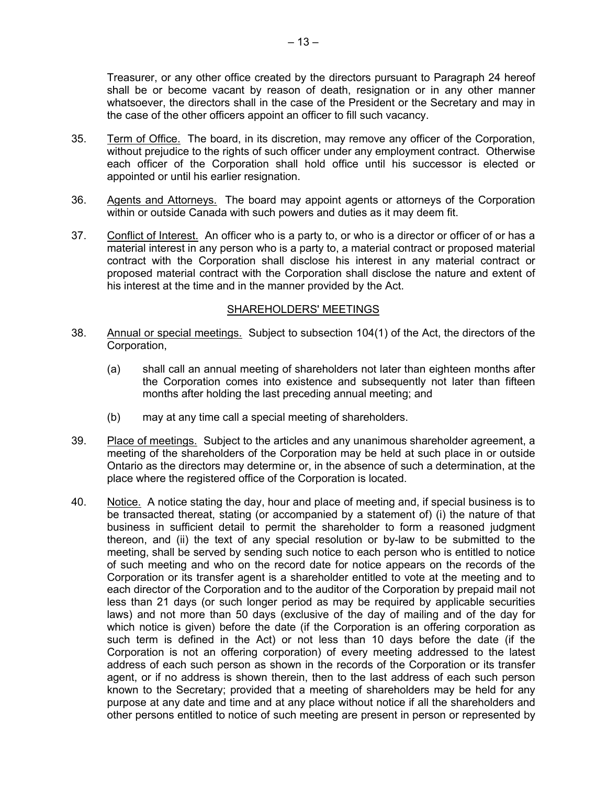Treasurer, or any other office created by the directors pursuant to Paragraph 24 hereof shall be or become vacant by reason of death, resignation or in any other manner whatsoever, the directors shall in the case of the President or the Secretary and may in the case of the other officers appoint an officer to fill such vacancy.

- 35. Term of Office. The board, in its discretion, may remove any officer of the Corporation, without prejudice to the rights of such officer under any employment contract. Otherwise each officer of the Corporation shall hold office until his successor is elected or appointed or until his earlier resignation.
- 36. Agents and Attorneys. The board may appoint agents or attorneys of the Corporation within or outside Canada with such powers and duties as it may deem fit.
- 37. Conflict of Interest. An officer who is a party to, or who is a director or officer of or has a material interest in any person who is a party to, a material contract or proposed material contract with the Corporation shall disclose his interest in any material contract or proposed material contract with the Corporation shall disclose the nature and extent of his interest at the time and in the manner provided by the Act.

#### SHAREHOLDERS' MEETINGS

- 38. Annual or special meetings. Subject to subsection 104(1) of the Act, the directors of the Corporation,
	- (a) shall call an annual meeting of shareholders not later than eighteen months after the Corporation comes into existence and subsequently not later than fifteen months after holding the last preceding annual meeting; and
	- (b) may at any time call a special meeting of shareholders.
- 39. Place of meetings. Subject to the articles and any unanimous shareholder agreement, a meeting of the shareholders of the Corporation may be held at such place in or outside Ontario as the directors may determine or, in the absence of such a determination, at the place where the registered office of the Corporation is located.
- 40. Notice. A notice stating the day, hour and place of meeting and, if special business is to be transacted thereat, stating (or accompanied by a statement of) (i) the nature of that business in sufficient detail to permit the shareholder to form a reasoned judgment thereon, and (ii) the text of any special resolution or by-law to be submitted to the meeting, shall be served by sending such notice to each person who is entitled to notice of such meeting and who on the record date for notice appears on the records of the Corporation or its transfer agent is a shareholder entitled to vote at the meeting and to each director of the Corporation and to the auditor of the Corporation by prepaid mail not less than 21 days (or such longer period as may be required by applicable securities laws) and not more than 50 days (exclusive of the day of mailing and of the day for which notice is given) before the date (if the Corporation is an offering corporation as such term is defined in the Act) or not less than 10 days before the date (if the Corporation is not an offering corporation) of every meeting addressed to the latest address of each such person as shown in the records of the Corporation or its transfer agent, or if no address is shown therein, then to the last address of each such person known to the Secretary; provided that a meeting of shareholders may be held for any purpose at any date and time and at any place without notice if all the shareholders and other persons entitled to notice of such meeting are present in person or represented by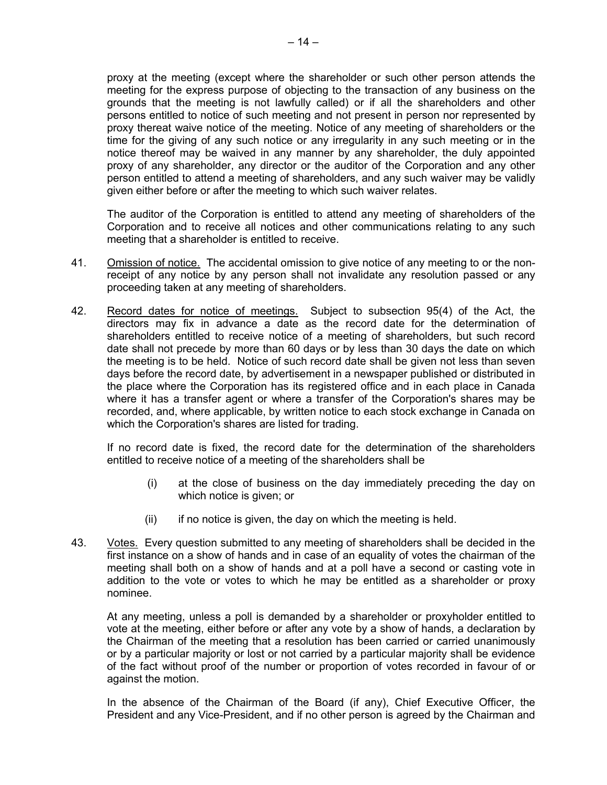proxy at the meeting (except where the shareholder or such other person attends the meeting for the express purpose of objecting to the transaction of any business on the grounds that the meeting is not lawfully called) or if all the shareholders and other persons entitled to notice of such meeting and not present in person nor represented by proxy thereat waive notice of the meeting. Notice of any meeting of shareholders or the time for the giving of any such notice or any irregularity in any such meeting or in the notice thereof may be waived in any manner by any shareholder, the duly appointed proxy of any shareholder, any director or the auditor of the Corporation and any other person entitled to attend a meeting of shareholders, and any such waiver may be validly given either before or after the meeting to which such waiver relates.

The auditor of the Corporation is entitled to attend any meeting of shareholders of the Corporation and to receive all notices and other communications relating to any such meeting that a shareholder is entitled to receive.

- 41. Omission of notice. The accidental omission to give notice of any meeting to or the nonreceipt of any notice by any person shall not invalidate any resolution passed or any proceeding taken at any meeting of shareholders.
- 42. Record dates for notice of meetings. Subject to subsection 95(4) of the Act, the directors may fix in advance a date as the record date for the determination of shareholders entitled to receive notice of a meeting of shareholders, but such record date shall not precede by more than 60 days or by less than 30 days the date on which the meeting is to be held. Notice of such record date shall be given not less than seven days before the record date, by advertisement in a newspaper published or distributed in the place where the Corporation has its registered office and in each place in Canada where it has a transfer agent or where a transfer of the Corporation's shares may be recorded, and, where applicable, by written notice to each stock exchange in Canada on which the Corporation's shares are listed for trading.

If no record date is fixed, the record date for the determination of the shareholders entitled to receive notice of a meeting of the shareholders shall be

- (i) at the close of business on the day immediately preceding the day on which notice is given; or
- (ii) if no notice is given, the day on which the meeting is held.
- 43. Votes. Every question submitted to any meeting of shareholders shall be decided in the first instance on a show of hands and in case of an equality of votes the chairman of the meeting shall both on a show of hands and at a poll have a second or casting vote in addition to the vote or votes to which he may be entitled as a shareholder or proxy nominee.

At any meeting, unless a poll is demanded by a shareholder or proxyholder entitled to vote at the meeting, either before or after any vote by a show of hands, a declaration by the Chairman of the meeting that a resolution has been carried or carried unanimously or by a particular majority or lost or not carried by a particular majority shall be evidence of the fact without proof of the number or proportion of votes recorded in favour of or against the motion.

In the absence of the Chairman of the Board (if any), Chief Executive Officer, the President and any Vice-President, and if no other person is agreed by the Chairman and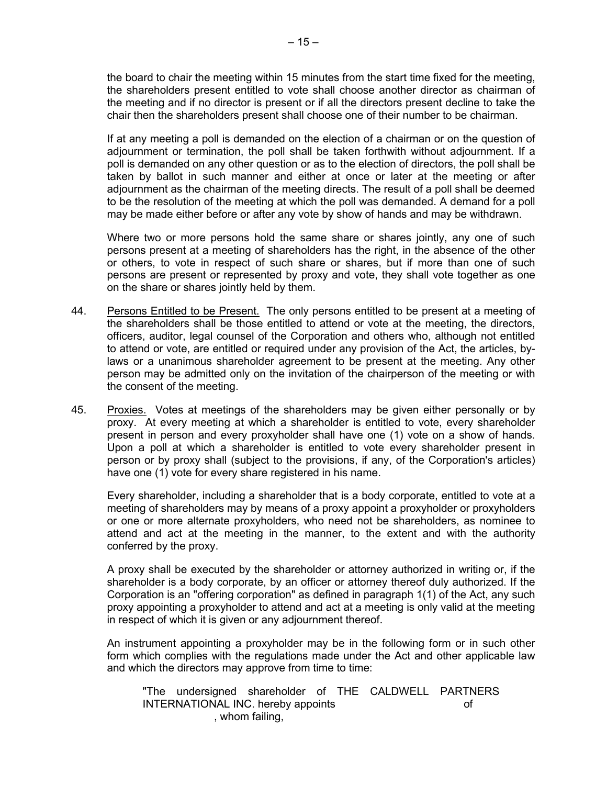the board to chair the meeting within 15 minutes from the start time fixed for the meeting, the shareholders present entitled to vote shall choose another director as chairman of the meeting and if no director is present or if all the directors present decline to take the chair then the shareholders present shall choose one of their number to be chairman.

If at any meeting a poll is demanded on the election of a chairman or on the question of adjournment or termination, the poll shall be taken forthwith without adjournment. If a poll is demanded on any other question or as to the election of directors, the poll shall be taken by ballot in such manner and either at once or later at the meeting or after adjournment as the chairman of the meeting directs. The result of a poll shall be deemed to be the resolution of the meeting at which the poll was demanded. A demand for a poll may be made either before or after any vote by show of hands and may be withdrawn.

Where two or more persons hold the same share or shares jointly, any one of such persons present at a meeting of shareholders has the right, in the absence of the other or others, to vote in respect of such share or shares, but if more than one of such persons are present or represented by proxy and vote, they shall vote together as one on the share or shares jointly held by them.

- 44. Persons Entitled to be Present. The only persons entitled to be present at a meeting of the shareholders shall be those entitled to attend or vote at the meeting, the directors, officers, auditor, legal counsel of the Corporation and others who, although not entitled to attend or vote, are entitled or required under any provision of the Act, the articles, bylaws or a unanimous shareholder agreement to be present at the meeting. Any other person may be admitted only on the invitation of the chairperson of the meeting or with the consent of the meeting.
- 45. Proxies. Votes at meetings of the shareholders may be given either personally or by proxy. At every meeting at which a shareholder is entitled to vote, every shareholder present in person and every proxyholder shall have one (1) vote on a show of hands. Upon a poll at which a shareholder is entitled to vote every shareholder present in person or by proxy shall (subject to the provisions, if any, of the Corporation's articles) have one (1) vote for every share registered in his name.

Every shareholder, including a shareholder that is a body corporate, entitled to vote at a meeting of shareholders may by means of a proxy appoint a proxyholder or proxyholders or one or more alternate proxyholders, who need not be shareholders, as nominee to attend and act at the meeting in the manner, to the extent and with the authority conferred by the proxy.

A proxy shall be executed by the shareholder or attorney authorized in writing or, if the shareholder is a body corporate, by an officer or attorney thereof duly authorized. If the Corporation is an "offering corporation" as defined in paragraph 1(1) of the Act, any such proxy appointing a proxyholder to attend and act at a meeting is only valid at the meeting in respect of which it is given or any adjournment thereof.

An instrument appointing a proxyholder may be in the following form or in such other form which complies with the regulations made under the Act and other applicable law and which the directors may approve from time to time:

"The undersigned shareholder of THE CALDWELL PARTNERS INTERNATIONAL INC. hereby appoints of , whom failing,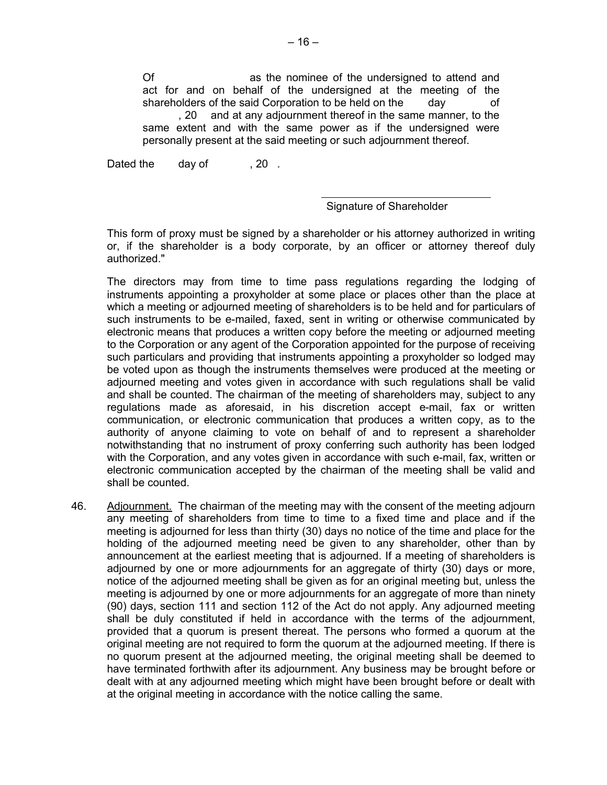Of as the nominee of the undersigned to attend and act for and on behalf of the undersigned at the meeting of the shareholders of the said Corporation to be held on the day of , 20 and at any adjournment thereof in the same manner, to the same extent and with the same power as if the undersigned were personally present at the said meeting or such adjournment thereof.

Dated the day of , 20.

## Signature of Shareholder

This form of proxy must be signed by a shareholder or his attorney authorized in writing or, if the shareholder is a body corporate, by an officer or attorney thereof duly authorized."

The directors may from time to time pass regulations regarding the lodging of instruments appointing a proxyholder at some place or places other than the place at which a meeting or adjourned meeting of shareholders is to be held and for particulars of such instruments to be e-mailed, faxed, sent in writing or otherwise communicated by electronic means that produces a written copy before the meeting or adjourned meeting to the Corporation or any agent of the Corporation appointed for the purpose of receiving such particulars and providing that instruments appointing a proxyholder so lodged may be voted upon as though the instruments themselves were produced at the meeting or adjourned meeting and votes given in accordance with such regulations shall be valid and shall be counted. The chairman of the meeting of shareholders may, subject to any regulations made as aforesaid, in his discretion accept e-mail, fax or written communication, or electronic communication that produces a written copy, as to the authority of anyone claiming to vote on behalf of and to represent a shareholder notwithstanding that no instrument of proxy conferring such authority has been lodged with the Corporation, and any votes given in accordance with such e-mail, fax, written or electronic communication accepted by the chairman of the meeting shall be valid and shall be counted.

46. Adjournment. The chairman of the meeting may with the consent of the meeting adjourn any meeting of shareholders from time to time to a fixed time and place and if the meeting is adjourned for less than thirty (30) days no notice of the time and place for the holding of the adjourned meeting need be given to any shareholder, other than by announcement at the earliest meeting that is adjourned. If a meeting of shareholders is adjourned by one or more adjournments for an aggregate of thirty (30) days or more, notice of the adjourned meeting shall be given as for an original meeting but, unless the meeting is adjourned by one or more adjournments for an aggregate of more than ninety (90) days, section 111 and section 112 of the Act do not apply. Any adjourned meeting shall be duly constituted if held in accordance with the terms of the adjournment, provided that a quorum is present thereat. The persons who formed a quorum at the original meeting are not required to form the quorum at the adjourned meeting. If there is no quorum present at the adjourned meeting, the original meeting shall be deemed to have terminated forthwith after its adjournment. Any business may be brought before or dealt with at any adjourned meeting which might have been brought before or dealt with at the original meeting in accordance with the notice calling the same.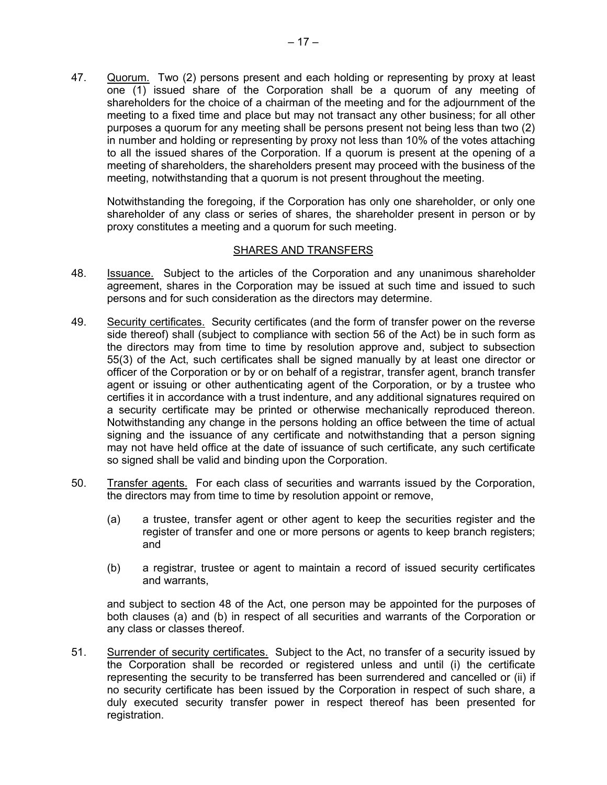47. Quorum. Two (2) persons present and each holding or representing by proxy at least one (1) issued share of the Corporation shall be a quorum of any meeting of shareholders for the choice of a chairman of the meeting and for the adjournment of the meeting to a fixed time and place but may not transact any other business; for all other purposes a quorum for any meeting shall be persons present not being less than two (2) in number and holding or representing by proxy not less than 10% of the votes attaching to all the issued shares of the Corporation. If a quorum is present at the opening of a meeting of shareholders, the shareholders present may proceed with the business of the meeting, notwithstanding that a quorum is not present throughout the meeting.

Notwithstanding the foregoing, if the Corporation has only one shareholder, or only one shareholder of any class or series of shares, the shareholder present in person or by proxy constitutes a meeting and a quorum for such meeting.

#### SHARES AND TRANSFERS

- 48. Issuance. Subject to the articles of the Corporation and any unanimous shareholder agreement, shares in the Corporation may be issued at such time and issued to such persons and for such consideration as the directors may determine.
- 49. Security certificates. Security certificates (and the form of transfer power on the reverse side thereof) shall (subject to compliance with section 56 of the Act) be in such form as the directors may from time to time by resolution approve and, subject to subsection 55(3) of the Act, such certificates shall be signed manually by at least one director or officer of the Corporation or by or on behalf of a registrar, transfer agent, branch transfer agent or issuing or other authenticating agent of the Corporation, or by a trustee who certifies it in accordance with a trust indenture, and any additional signatures required on a security certificate may be printed or otherwise mechanically reproduced thereon. Notwithstanding any change in the persons holding an office between the time of actual signing and the issuance of any certificate and notwithstanding that a person signing may not have held office at the date of issuance of such certificate, any such certificate so signed shall be valid and binding upon the Corporation.
- 50. Transfer agents. For each class of securities and warrants issued by the Corporation, the directors may from time to time by resolution appoint or remove,
	- (a) a trustee, transfer agent or other agent to keep the securities register and the register of transfer and one or more persons or agents to keep branch registers; and
	- (b) a registrar, trustee or agent to maintain a record of issued security certificates and warrants,

and subject to section 48 of the Act, one person may be appointed for the purposes of both clauses (a) and (b) in respect of all securities and warrants of the Corporation or any class or classes thereof.

51. Surrender of security certificates. Subject to the Act, no transfer of a security issued by the Corporation shall be recorded or registered unless and until (i) the certificate representing the security to be transferred has been surrendered and cancelled or (ii) if no security certificate has been issued by the Corporation in respect of such share, a duly executed security transfer power in respect thereof has been presented for registration.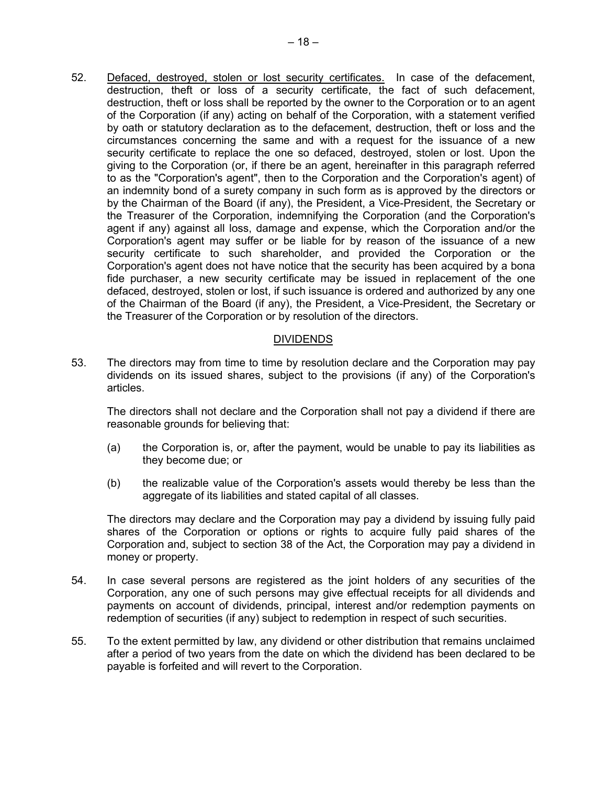52. Defaced, destroyed, stolen or lost security certificates. In case of the defacement, destruction, theft or loss of a security certificate, the fact of such defacement, destruction, theft or loss shall be reported by the owner to the Corporation or to an agent of the Corporation (if any) acting on behalf of the Corporation, with a statement verified by oath or statutory declaration as to the defacement, destruction, theft or loss and the circumstances concerning the same and with a request for the issuance of a new security certificate to replace the one so defaced, destroyed, stolen or lost. Upon the giving to the Corporation (or, if there be an agent, hereinafter in this paragraph referred to as the "Corporation's agent", then to the Corporation and the Corporation's agent) of an indemnity bond of a surety company in such form as is approved by the directors or by the Chairman of the Board (if any), the President, a Vice-President, the Secretary or the Treasurer of the Corporation, indemnifying the Corporation (and the Corporation's agent if any) against all loss, damage and expense, which the Corporation and/or the Corporation's agent may suffer or be liable for by reason of the issuance of a new security certificate to such shareholder, and provided the Corporation or the Corporation's agent does not have notice that the security has been acquired by a bona fide purchaser, a new security certificate may be issued in replacement of the one defaced, destroyed, stolen or lost, if such issuance is ordered and authorized by any one of the Chairman of the Board (if any), the President, a Vice-President, the Secretary or the Treasurer of the Corporation or by resolution of the directors.

## **DIVIDENDS**

53. The directors may from time to time by resolution declare and the Corporation may pay dividends on its issued shares, subject to the provisions (if any) of the Corporation's articles.

The directors shall not declare and the Corporation shall not pay a dividend if there are reasonable grounds for believing that:

- (a) the Corporation is, or, after the payment, would be unable to pay its liabilities as they become due; or
- (b) the realizable value of the Corporation's assets would thereby be less than the aggregate of its liabilities and stated capital of all classes.

The directors may declare and the Corporation may pay a dividend by issuing fully paid shares of the Corporation or options or rights to acquire fully paid shares of the Corporation and, subject to section 38 of the Act, the Corporation may pay a dividend in money or property.

- 54. In case several persons are registered as the joint holders of any securities of the Corporation, any one of such persons may give effectual receipts for all dividends and payments on account of dividends, principal, interest and/or redemption payments on redemption of securities (if any) subject to redemption in respect of such securities.
- 55. To the extent permitted by law, any dividend or other distribution that remains unclaimed after a period of two years from the date on which the dividend has been declared to be payable is forfeited and will revert to the Corporation.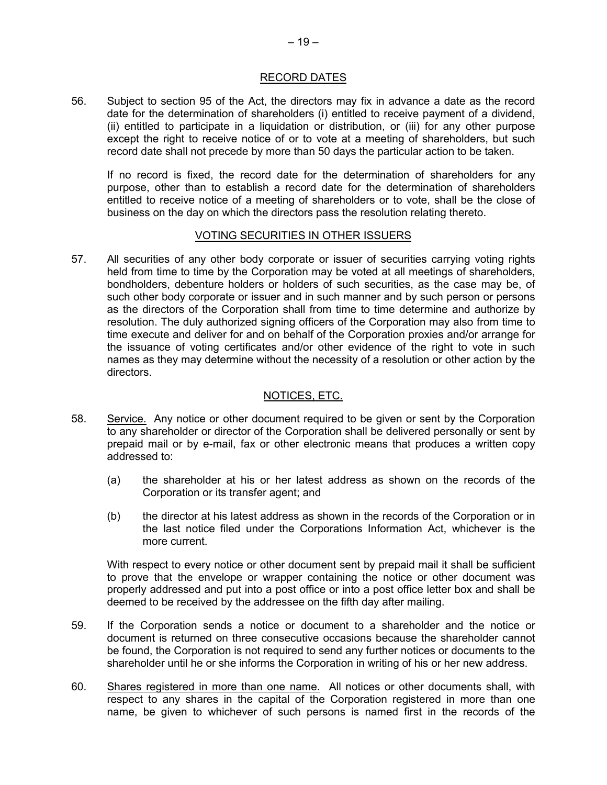#### RECORD DATES

56. Subject to section 95 of the Act, the directors may fix in advance a date as the record date for the determination of shareholders (i) entitled to receive payment of a dividend, (ii) entitled to participate in a liquidation or distribution, or (iii) for any other purpose except the right to receive notice of or to vote at a meeting of shareholders, but such record date shall not precede by more than 50 days the particular action to be taken.

If no record is fixed, the record date for the determination of shareholders for any purpose, other than to establish a record date for the determination of shareholders entitled to receive notice of a meeting of shareholders or to vote, shall be the close of business on the day on which the directors pass the resolution relating thereto.

## VOTING SECURITIES IN OTHER ISSUERS

57. All securities of any other body corporate or issuer of securities carrying voting rights held from time to time by the Corporation may be voted at all meetings of shareholders, bondholders, debenture holders or holders of such securities, as the case may be, of such other body corporate or issuer and in such manner and by such person or persons as the directors of the Corporation shall from time to time determine and authorize by resolution. The duly authorized signing officers of the Corporation may also from time to time execute and deliver for and on behalf of the Corporation proxies and/or arrange for the issuance of voting certificates and/or other evidence of the right to vote in such names as they may determine without the necessity of a resolution or other action by the directors.

### NOTICES, ETC.

- 58. Service. Any notice or other document required to be given or sent by the Corporation to any shareholder or director of the Corporation shall be delivered personally or sent by prepaid mail or by e-mail, fax or other electronic means that produces a written copy addressed to:
	- (a) the shareholder at his or her latest address as shown on the records of the Corporation or its transfer agent; and
	- (b) the director at his latest address as shown in the records of the Corporation or in the last notice filed under the Corporations Information Act, whichever is the more current.

With respect to every notice or other document sent by prepaid mail it shall be sufficient to prove that the envelope or wrapper containing the notice or other document was properly addressed and put into a post office or into a post office letter box and shall be deemed to be received by the addressee on the fifth day after mailing.

- 59. If the Corporation sends a notice or document to a shareholder and the notice or document is returned on three consecutive occasions because the shareholder cannot be found, the Corporation is not required to send any further notices or documents to the shareholder until he or she informs the Corporation in writing of his or her new address.
- 60. Shares registered in more than one name. All notices or other documents shall, with respect to any shares in the capital of the Corporation registered in more than one name, be given to whichever of such persons is named first in the records of the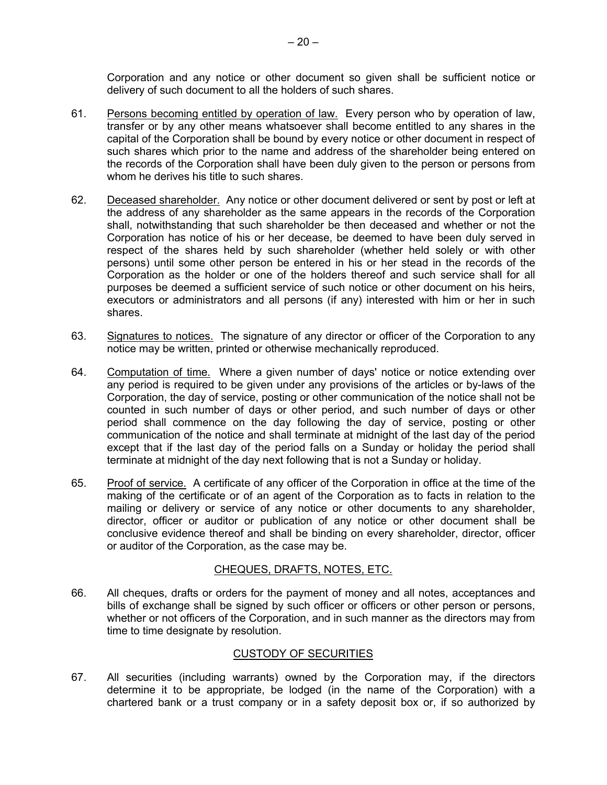Corporation and any notice or other document so given shall be sufficient notice or delivery of such document to all the holders of such shares.

- 61. Persons becoming entitled by operation of law. Every person who by operation of law, transfer or by any other means whatsoever shall become entitled to any shares in the capital of the Corporation shall be bound by every notice or other document in respect of such shares which prior to the name and address of the shareholder being entered on the records of the Corporation shall have been duly given to the person or persons from whom he derives his title to such shares.
- 62. Deceased shareholder. Any notice or other document delivered or sent by post or left at the address of any shareholder as the same appears in the records of the Corporation shall, notwithstanding that such shareholder be then deceased and whether or not the Corporation has notice of his or her decease, be deemed to have been duly served in respect of the shares held by such shareholder (whether held solely or with other persons) until some other person be entered in his or her stead in the records of the Corporation as the holder or one of the holders thereof and such service shall for all purposes be deemed a sufficient service of such notice or other document on his heirs, executors or administrators and all persons (if any) interested with him or her in such shares.
- 63. Signatures to notices. The signature of any director or officer of the Corporation to any notice may be written, printed or otherwise mechanically reproduced.
- 64. Computation of time. Where a given number of days' notice or notice extending over any period is required to be given under any provisions of the articles or by-laws of the Corporation, the day of service, posting or other communication of the notice shall not be counted in such number of days or other period, and such number of days or other period shall commence on the day following the day of service, posting or other communication of the notice and shall terminate at midnight of the last day of the period except that if the last day of the period falls on a Sunday or holiday the period shall terminate at midnight of the day next following that is not a Sunday or holiday.
- 65. Proof of service. A certificate of any officer of the Corporation in office at the time of the making of the certificate or of an agent of the Corporation as to facts in relation to the mailing or delivery or service of any notice or other documents to any shareholder, director, officer or auditor or publication of any notice or other document shall be conclusive evidence thereof and shall be binding on every shareholder, director, officer or auditor of the Corporation, as the case may be.

## CHEQUES, DRAFTS, NOTES, ETC.

66. All cheques, drafts or orders for the payment of money and all notes, acceptances and bills of exchange shall be signed by such officer or officers or other person or persons, whether or not officers of the Corporation, and in such manner as the directors may from time to time designate by resolution.

# CUSTODY OF SECURITIES

67. All securities (including warrants) owned by the Corporation may, if the directors determine it to be appropriate, be lodged (in the name of the Corporation) with a chartered bank or a trust company or in a safety deposit box or, if so authorized by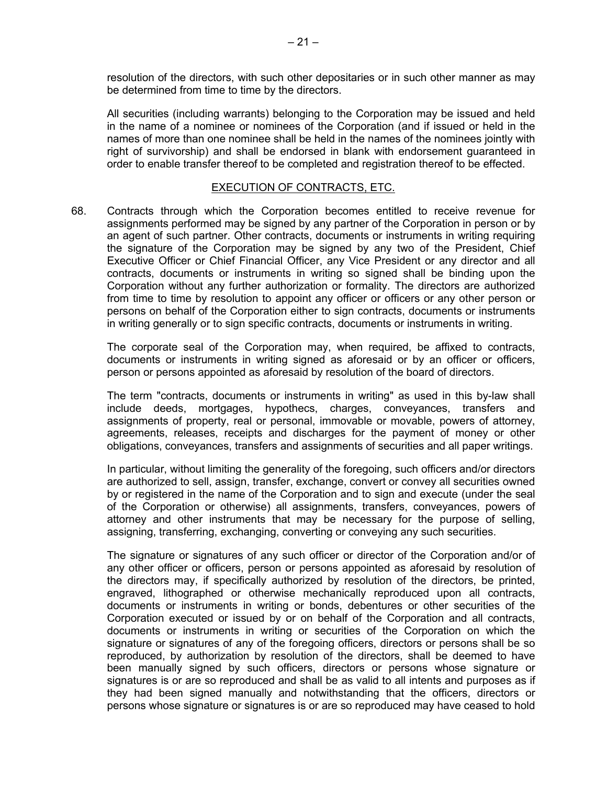resolution of the directors, with such other depositaries or in such other manner as may be determined from time to time by the directors.

All securities (including warrants) belonging to the Corporation may be issued and held in the name of a nominee or nominees of the Corporation (and if issued or held in the names of more than one nominee shall be held in the names of the nominees jointly with right of survivorship) and shall be endorsed in blank with endorsement guaranteed in order to enable transfer thereof to be completed and registration thereof to be effected.

## EXECUTION OF CONTRACTS, ETC.

68. Contracts through which the Corporation becomes entitled to receive revenue for assignments performed may be signed by any partner of the Corporation in person or by an agent of such partner. Other contracts, documents or instruments in writing requiring the signature of the Corporation may be signed by any two of the President, Chief Executive Officer or Chief Financial Officer, any Vice President or any director and all contracts, documents or instruments in writing so signed shall be binding upon the Corporation without any further authorization or formality. The directors are authorized from time to time by resolution to appoint any officer or officers or any other person or persons on behalf of the Corporation either to sign contracts, documents or instruments in writing generally or to sign specific contracts, documents or instruments in writing.

The corporate seal of the Corporation may, when required, be affixed to contracts, documents or instruments in writing signed as aforesaid or by an officer or officers, person or persons appointed as aforesaid by resolution of the board of directors.

The term "contracts, documents or instruments in writing" as used in this by-law shall include deeds, mortgages, hypothecs, charges, conveyances, transfers and assignments of property, real or personal, immovable or movable, powers of attorney, agreements, releases, receipts and discharges for the payment of money or other obligations, conveyances, transfers and assignments of securities and all paper writings.

In particular, without limiting the generality of the foregoing, such officers and/or directors are authorized to sell, assign, transfer, exchange, convert or convey all securities owned by or registered in the name of the Corporation and to sign and execute (under the seal of the Corporation or otherwise) all assignments, transfers, conveyances, powers of attorney and other instruments that may be necessary for the purpose of selling, assigning, transferring, exchanging, converting or conveying any such securities.

The signature or signatures of any such officer or director of the Corporation and/or of any other officer or officers, person or persons appointed as aforesaid by resolution of the directors may, if specifically authorized by resolution of the directors, be printed, engraved, lithographed or otherwise mechanically reproduced upon all contracts, documents or instruments in writing or bonds, debentures or other securities of the Corporation executed or issued by or on behalf of the Corporation and all contracts, documents or instruments in writing or securities of the Corporation on which the signature or signatures of any of the foregoing officers, directors or persons shall be so reproduced, by authorization by resolution of the directors, shall be deemed to have been manually signed by such officers, directors or persons whose signature or signatures is or are so reproduced and shall be as valid to all intents and purposes as if they had been signed manually and notwithstanding that the officers, directors or persons whose signature or signatures is or are so reproduced may have ceased to hold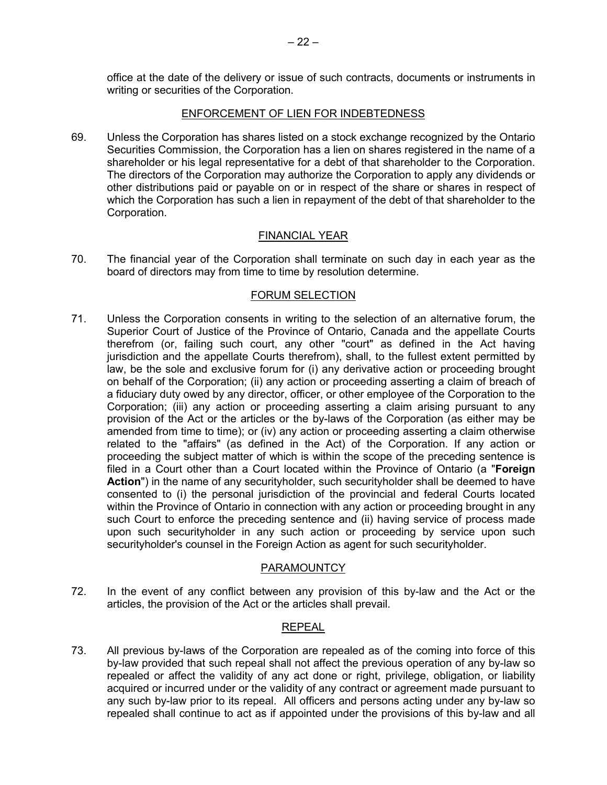office at the date of the delivery or issue of such contracts, documents or instruments in writing or securities of the Corporation.

## ENFORCEMENT OF LIEN FOR INDEBTEDNESS

69. Unless the Corporation has shares listed on a stock exchange recognized by the Ontario Securities Commission, the Corporation has a lien on shares registered in the name of a shareholder or his legal representative for a debt of that shareholder to the Corporation. The directors of the Corporation may authorize the Corporation to apply any dividends or other distributions paid or payable on or in respect of the share or shares in respect of which the Corporation has such a lien in repayment of the debt of that shareholder to the Corporation.

## FINANCIAL YEAR

70. The financial year of the Corporation shall terminate on such day in each year as the board of directors may from time to time by resolution determine.

## FORUM SELECTION

71. Unless the Corporation consents in writing to the selection of an alternative forum, the Superior Court of Justice of the Province of Ontario, Canada and the appellate Courts therefrom (or, failing such court, any other "court" as defined in the Act having jurisdiction and the appellate Courts therefrom), shall, to the fullest extent permitted by law, be the sole and exclusive forum for (i) any derivative action or proceeding brought on behalf of the Corporation; (ii) any action or proceeding asserting a claim of breach of a fiduciary duty owed by any director, officer, or other employee of the Corporation to the Corporation; (iii) any action or proceeding asserting a claim arising pursuant to any provision of the Act or the articles or the by-laws of the Corporation (as either may be amended from time to time); or (iv) any action or proceeding asserting a claim otherwise related to the "affairs" (as defined in the Act) of the Corporation. If any action or proceeding the subject matter of which is within the scope of the preceding sentence is filed in a Court other than a Court located within the Province of Ontario (a "**Foreign Action**") in the name of any securityholder, such securityholder shall be deemed to have consented to (i) the personal jurisdiction of the provincial and federal Courts located within the Province of Ontario in connection with any action or proceeding brought in any such Court to enforce the preceding sentence and (ii) having service of process made upon such securityholder in any such action or proceeding by service upon such securityholder's counsel in the Foreign Action as agent for such securityholder.

#### PARAMOUNTCY

72. In the event of any conflict between any provision of this by-law and the Act or the articles, the provision of the Act or the articles shall prevail.

## REPEAL

73. All previous by-laws of the Corporation are repealed as of the coming into force of this by-law provided that such repeal shall not affect the previous operation of any by-law so repealed or affect the validity of any act done or right, privilege, obligation, or liability acquired or incurred under or the validity of any contract or agreement made pursuant to any such by-law prior to its repeal. All officers and persons acting under any by-law so repealed shall continue to act as if appointed under the provisions of this by-law and all